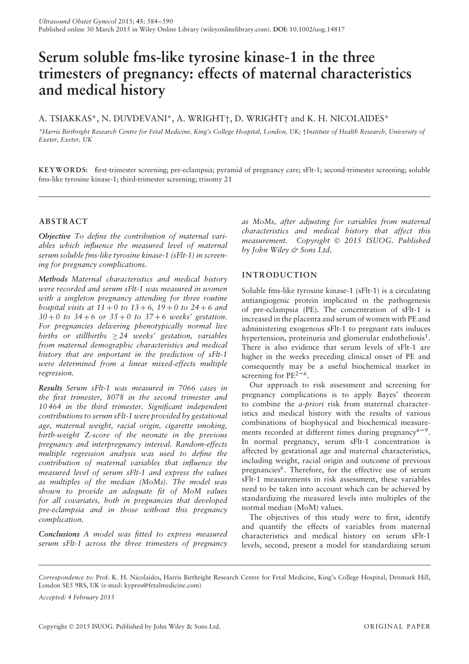# **Serum soluble fms-like tyrosine kinase-1 in the three trimesters of pregnancy: effects of maternal characteristics and medical history**

# A. TSIAKKAS\*, N. DUVDEVANI\*, A. WRIGHT†, D. WRIGHT† and K. H. NICOLAIDES\*

*\*Harris Birthright Research Centre for Fetal Medicine, King's College Hospital, London, UK;* †*Institute of Health Research, University of Exeter, Exeter, UK*

**KEYWORD S: f**irst-trimester screening; pre-eclampsia; pyramid of pregnancy care; sFlt-1; second-trimester screening; soluble fms-like tyrosine kinase-1; third-trimester screening; trisomy 21

# **ABSTRACT**

*Objective To define the contribution of maternal variables which influence the measured level of maternal serum soluble fms-like tyrosine kinase-1 (sFlt-1) in screening for pregnancy complications.*

*Methods Maternal characteristics and medical history were recorded and serum sFlt-1 was measured in women with a singleton pregnancy attending for three routine hospital visits at*  $11 + 0$  *to*  $13 + 6$ ,  $19 + 0$  *to*  $24 + 6$  *and 30* + *0 to 34* + *6 or 35* + *0 to 37* + *6 weeks' gestation. For pregnancies delivering phenotypically normal live births or stillbirths* ≥ *24 weeks' gestation, variables from maternal demographic characteristics and medical history that are important in the prediction of sFlt-1 were determined from a linear mixed-effects multiple regression.*

*Results Serum sFlt-1 was measured in 7066 cases in the first trimester, 8078 in the second trimester and 10 464 in the third trimester. Significant independent contributions to serum sFlt-1 were provided by gestational age, maternal weight, racial origin, cigarette smoking, birth-weight* Z*-score of the neonate in the previous pregnancy and interpregnancy interval. Random-effects multiple regression analysis was used to define the contribution of maternal variables that influence the measured level of serum sFlt-1 and express the values as multiples of the median (MoMs). The model was shown to provide an adequate fit of MoM values for all covariates, both in pregnancies that developed pre-eclampsia and in those without this pregnancy complication.*

*Conclusions A model was fitted to express measured serum sFlt-1 across the three trimesters of pregnancy* *as MoMs, after adjusting for variables from maternal characteristics and medical history that affect this measurement. Copyright* © *2015 ISUOG. Published by John Wiley & Sons Ltd.*

# **INTRODUCTION**

Soluble fms-like tyrosine kinase-1 (sFlt-1) is a circulating antiangiogenic protein implicated in the pathogenesis of pre-eclampsia (PE). The concentration of sFlt-1 is increased in the placenta and serum of women with PE and administering exogenous sFlt-1 to pregnant rats induces hypertension, proteinuria and glomerular endotheliosis<sup>1</sup>. There is also evidence that serum levels of sFlt-1 are higher in the weeks preceding clinical onset of PE and consequently may be a useful biochemical marker in screening for  $PE^{2-6}$ .

Our approach to risk assessment and screening for pregnancy complications is to apply Bayes' theorem to combine the *a-priori* risk from maternal characteristics and medical history with the results of various combinations of biophysical and biochemical measurements recorded at different times during pregnancy<sup>6-9</sup>. In normal pregnancy, serum sFlt-1 concentration is affected by gestational age and maternal characteristics, including weight, racial origin and outcome of previous pregnancies<sup>6</sup>. Therefore, for the effective use of serum sFlt-1 measurements in risk assessment, these variables need to be taken into account which can be achieved by standardizing the measured levels into multiples of the normal median (MoM) values.

The objectives of this study were to first, identify and quantify the effects of variables from maternal characteristics and medical history on serum sFlt-1 levels, second, present a model for standardizing serum

*Accepted: 4 February 2015*

*Correspondence to:* Prof. K. H. Nicolaides, Harris Birthright Research Centre for Fetal Medicine, King's College Hospital, Denmark Hill, London SE5 9RS, UK (e-mail: kypros@fetalmedicine.com)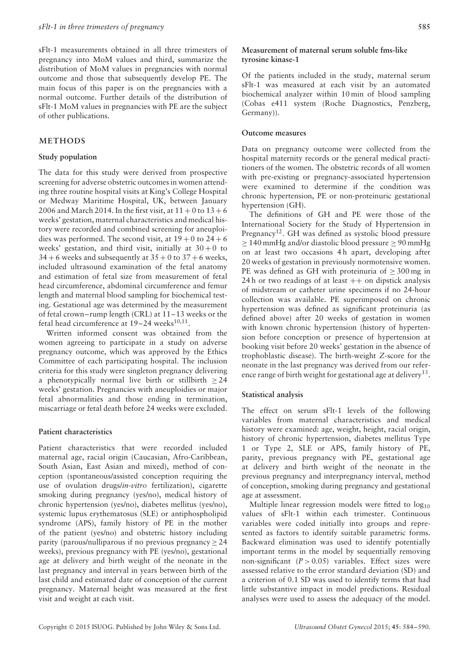sFlt-1 measurements obtained in all three trimesters of pregnancy into MoM values and third, summarize the distribution of MoM values in pregnancies with normal outcome and those that subsequently develop PE. The main focus of this paper is on the pregnancies with a normal outcome. Further details of the distribution of sFlt-1 MoM values in pregnancies with PE are the subject of other publications.

#### **METHODS**

#### **Study population**

The data for this study were derived from prospective screening for adverse obstetric outcomes in women attending three routine hospital visits at King's College Hospital or Medway Maritime Hospital, UK, between January 2006 and March 2014. In the first visit, at  $11 + 0$  to  $13 + 6$ weeks' gestation, maternal characteristics and medical history were recorded and combined screening for aneuploidies was performed. The second visit, at  $19 + 0$  to  $24 + 6$ weeks' gestation, and third visit, initially at  $30+0$  to  $34 + 6$  weeks and subsequently at  $35 + 0$  to  $37 + 6$  weeks, included ultrasound examination of the fetal anatomy and estimation of fetal size from measurement of fetal head circumference, abdominal circumference and femur length and maternal blood sampling for biochemical testing. Gestational age was determined by the measurement of fetal crown–rump length (CRL) at 11–13 weeks or the fetal head circumference at  $19-24$  weeks<sup>10,11</sup>.

Written informed consent was obtained from the women agreeing to participate in a study on adverse pregnancy outcome, which was approved by the Ethics Committee of each participating hospital. The inclusion criteria for this study were singleton pregnancy delivering a phenotypically normal live birth or stillbirth  $\geq 24$ weeks' gestation. Pregnancies with aneuploidies or major fetal abnormalities and those ending in termination, miscarriage or fetal death before 24 weeks were excluded.

## **Patient characteristics**

Patient characteristics that were recorded included maternal age, racial origin (Caucasian, Afro-Caribbean, South Asian, East Asian and mixed), method of conception (spontaneous/assisted conception requiring the use of ovulation drugs/*in-vitro* fertilization), cigarette smoking during pregnancy (yes/no), medical history of chronic hypertension (yes/no), diabetes mellitus (yes/no), systemic lupus erythematosus (SLE) or antiphospholipid syndrome (APS), family history of PE in the mother of the patient (yes/no) and obstetric history including parity (parous/nulliparous if no previous pregnancy  $> 24$ weeks), previous pregnancy with PE (yes/no), gestational age at delivery and birth weight of the neonate in the last pregnancy and interval in years between birth of the last child and estimated date of conception of the current pregnancy. Maternal height was measured at the first visit and weight at each visit.

## **Measurement of maternal serum soluble fms-like tyrosine kinase-1**

Of the patients included in the study, maternal serum sFlt-1 was measured at each visit by an automated biochemical analyzer within 10 min of blood sampling (Cobas e411 system (Roche Diagnostics, Penzberg, Germany)).

## **Outcome measures**

Data on pregnancy outcome were collected from the hospital maternity records or the general medical practitioners of the women. The obstetric records of all women with pre-existing or pregnancy-associated hypertension were examined to determine if the condition was chronic hypertension, PE or non-proteinuric gestational hypertension (GH).

The definitions of GH and PE were those of the International Society for the Study of Hypertension in Pregnancy<sup>12</sup>. GH was defined as systolic blood pressure  $\geq$  140 mmHg and/or diastolic blood pressure  $\geq$  90 mmHg on at least two occasions 4h apart, developing after 20 weeks of gestation in previously normotensive women. PE was defined as GH with proteinuria of  $\geq$  300 mg in 24 h or two readings of at least  $++$  on dipstick analysis of midstream or catheter urine specimens if no 24-hour collection was available. PE superimposed on chronic hypertension was defined as significant proteinuria (as defined above) after 20 weeks of gestation in women with known chronic hypertension (history of hypertension before conception or presence of hypertension at booking visit before 20 weeks' gestation in the absence of trophoblastic disease). The birth-weight *Z*-score for the neonate in the last pregnancy was derived from our reference range of birth weight for gestational age at delivery<sup>13</sup>.

## **Statistical analysis**

The effect on serum sFlt-1 levels of the following variables from maternal characteristics and medical history were examined: age, weight, height, racial origin, history of chronic hypertension, diabetes mellitus Type 1 or Type 2, SLE or APS, family history of PE, parity, previous pregnancy with PE, gestational age at delivery and birth weight of the neonate in the previous pregnancy and interpregnancy interval, method of conception, smoking during pregnancy and gestational age at assessment.

Multiple linear regression models were fitted to log<sub>10</sub> values of sFlt-1 within each trimester. Continuous variables were coded initially into groups and represented as factors to identify suitable parametric forms. Backward elimination was used to identify potentially important terms in the model by sequentially removing non-significant  $(P > 0.05)$  variables. Effect sizes were assessed relative to the error standard deviation (SD) and a criterion of 0.1 SD was used to identify terms that had little substantive impact in model predictions. Residual analyses were used to assess the adequacy of the model.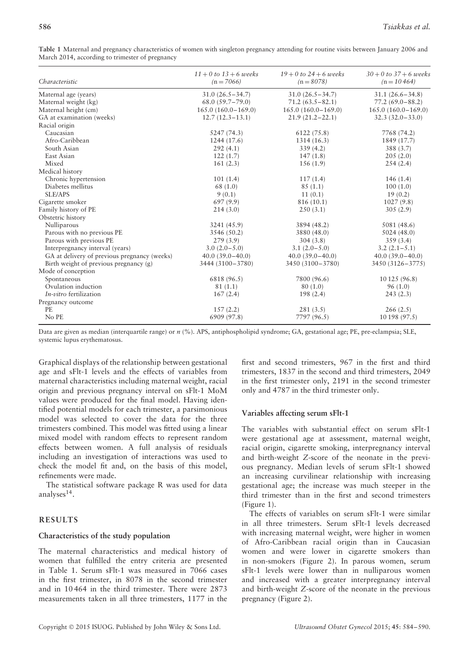| Characteristic                               | $11 + 0$ to $13 + 6$ weeks<br>$(n = 7066)$ | $19 + 0$ to $24 + 6$ weeks<br>$(n = 8078)$ | $30 + 0$ to $37 + 6$ weeks<br>$(n = 10464)$ |
|----------------------------------------------|--------------------------------------------|--------------------------------------------|---------------------------------------------|
| Maternal age (years)                         | $31.0(26.5 - 34.7)$                        | $31.0(26.5 - 34.7)$                        | $31.1(26.6 - 34.8)$                         |
| Maternal weight (kg)                         | $68.0(59.7-79.0)$                          | $71.2(63.5 - 82.1)$                        | $77.2(69.0 - 88.2)$                         |
| Maternal height (cm)                         | $165.0(160.0-169.0)$                       | $165.0(160.0-169.0)$                       | $165.0(160.0-169.0)$                        |
| GA at examination (weeks)                    | $12.7(12.3-13.1)$                          | $21.9(21.2 - 22.1)$                        | $32.3(32.0-33.0)$                           |
| Racial origin                                |                                            |                                            |                                             |
| Caucasian                                    | 5247 (74.3)                                | 6122 (75.8)                                | 7768 (74.2)                                 |
| Afro-Caribbean                               | 1244 (17.6)                                | 1314(16.3)                                 | 1849 (17.7)                                 |
| South Asian                                  | 292(4.1)                                   | 339(4.2)                                   | 388 (3.7)                                   |
| East Asian                                   | 122(1.7)                                   | 147(1.8)                                   | 205(2.0)                                    |
| Mixed                                        | 161(2.3)                                   | 156(1.9)                                   | 254(2.4)                                    |
| Medical history                              |                                            |                                            |                                             |
| Chronic hypertension                         | 101(1.4)                                   | 117(1.4)                                   | 146(1.4)                                    |
| Diabetes mellitus                            | 68 (1.0)                                   | 85(1.1)                                    | 100(1.0)                                    |
| <b>SLE/APS</b>                               | 9(0.1)                                     | 11(0.1)                                    | 19(0.2)                                     |
| Cigarette smoker                             | 697(9.9)                                   | 816 (10.1)                                 | 1027(9.8)                                   |
| Family history of PE                         | 214(3.0)                                   | 250(3.1)                                   | 305(2.9)                                    |
| Obstetric history                            |                                            |                                            |                                             |
| Nulliparous                                  | 3241 (45.9)                                | 3894 (48.2)                                | 5081 (48.6)                                 |
| Parous with no previous PE                   | 3546 (50.2)                                | 3880 (48.0)                                | 5024(48.0)                                  |
| Parous with previous PE                      | 279(3.9)                                   | 304(3.8)                                   | 359(3.4)                                    |
| Interpregnancy interval (years)              | $3.0(2.0-5.0)$                             | $3.1(2.0-5.0)$                             | $3.2(2.1-5.1)$                              |
| GA at delivery of previous pregnancy (weeks) | $40.0(39.0-40.0)$                          | $40.0(39.0-40.0)$                          | $40.0(39.0-40.0)$                           |
| Birth weight of previous pregnancy (g)       | 3444 (3100-3780)                           | 3450 (3100-3780)                           | 3450 (3126 – 3775)                          |
| Mode of conception                           |                                            |                                            |                                             |
| Spontaneous                                  | 6818 (96.5)                                | 7800 (96.6)                                | 10 125 (96.8)                               |
| Ovulation induction                          | 81(1.1)                                    | 80 (1.0)                                   | 96(1.0)                                     |
| <i>In-vitro</i> fertilization                | 167(2.4)                                   | 198(2.4)                                   | 243(2.3)                                    |
| Pregnancy outcome                            |                                            |                                            |                                             |
| <b>PE</b>                                    | 157(2.2)                                   | 281(3.5)                                   | 266(2.5)                                    |
| No PE                                        | 6909 (97.8)                                | 7797 (96.5)                                | 10 198 (97.5)                               |

**Table 1** Maternal and pregnancy characteristics of women with singleton pregnancy attending for routine visits between January 2006 and March 2014, according to trimester of pregnancy

Data are given as median (interquartile range) or  $n$  (%). APS, antiphospholipid syndrome; GA, gestational age; PE, pre-eclampsia; SLE, systemic lupus erythematosus.

Graphical displays of the relationship between gestational age and sFlt-1 levels and the effects of variables from maternal characteristics including maternal weight, racial origin and previous pregnancy interval on sFlt-1 MoM values were produced for the final model. Having identified potential models for each trimester, a parsimonious model was selected to cover the data for the three trimesters combined. This model was fitted using a linear mixed model with random effects to represent random effects between women. A full analysis of residuals including an investigation of interactions was used to check the model fit and, on the basis of this model, refinements were made.

The statistical software package R was used for data analyses $14$ .

# **RESULTS**

# **Characteristics of the study population**

The maternal characteristics and medical history of women that fulfilled the entry criteria are presented in Table 1. Serum sFlt-1 was measured in 7066 cases in the first trimester, in 8078 in the second trimester and in 10 464 in the third trimester. There were 2873 measurements taken in all three trimesters, 1177 in the

first and second trimesters, 967 in the first and third trimesters, 1837 in the second and third trimesters, 2049 in the first trimester only, 2191 in the second trimester only and 4787 in the third trimester only.

# **Variables affecting serum sFlt-1**

The variables with substantial effect on serum sFlt-1 were gestational age at assessment, maternal weight, racial origin, cigarette smoking, interpregnancy interval and birth-weight *Z*-score of the neonate in the previous pregnancy. Median levels of serum sFlt-1 showed an increasing curvilinear relationship with increasing gestational age; the increase was much steeper in the third trimester than in the first and second trimesters (Figure 1).

The effects of variables on serum sFlt-1 were similar in all three trimesters. Serum sFlt-1 levels decreased with increasing maternal weight, were higher in women of Afro-Caribbean racial origin than in Caucasian women and were lower in cigarette smokers than in non-smokers (Figure 2). In parous women, serum sFlt-1 levels were lower than in nulliparous women and increased with a greater interpregnancy interval and birth-weight *Z*-score of the neonate in the previous pregnancy (Figure 2).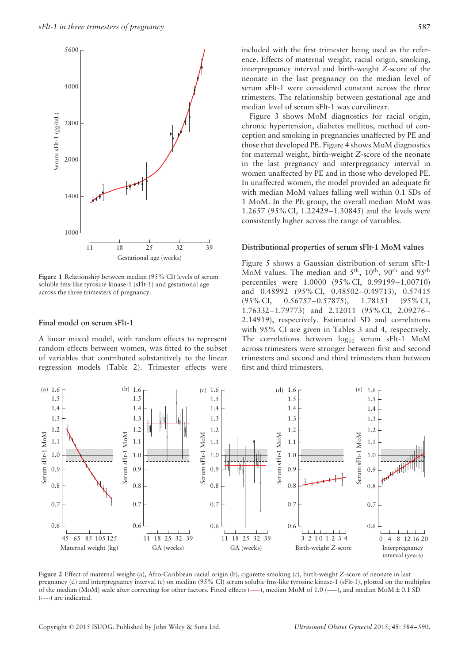

**Figure 1** Relationship between median (95% CI) levels of serum soluble fms-like tyrosine kinase-1 (sFlt-1) and gestational age across the three trimesters of pregnancy.

#### **Final model on serum sFlt-1**

A linear mixed model, with random effects to represent random effects between women, was fitted to the subset of variables that contributed substantively to the linear regression models (Table 2). Trimester effects were

included with the first trimester being used as the reference. Effects of maternal weight, racial origin, smoking, interpregnancy interval and birth-weight *Z*-score of the neonate in the last pregnancy on the median level of serum sFlt-1 were considered constant across the three trimesters. The relationship between gestational age and median level of serum sFlt-1 was curvilinear.

Figure 3 shows MoM diagnostics for racial origin, chronic hypertension, diabetes mellitus, method of conception and smoking in pregnancies unaffected by PE and those that developed PE. Figure 4 shows MoM diagnostics for maternal weight, birth-weight *Z*-score of the neonate in the last pregnancy and interpregnancy interval in women unaffected by PE and in those who developed PE. In unaffected women, the model provided an adequate fit with median MoM values falling well within 0.1 SDs of 1 MoM. In the PE group, the overall median MoM was 1.2657 (95% CI, 1.22429–1.30845) and the levels were consistently higher across the range of variables.

#### **Distributional properties of serum sFlt-1 MoM values**

Figure 5 shows a Gaussian distribution of serum sFlt-1 MoM values. The median and  $5<sup>th</sup>$ ,  $10<sup>th</sup>$ ,  $90<sup>th</sup>$  and  $95<sup>th</sup>$ percentiles were 1.0000 (95% CI, 0.99199–1.00710) and 0.48992 (95% CI, 0.48502–0.49713), 0.57415 (95% CI, 0.56757–0.57875), 1.78151 (95% CI, 1.76332–1.79773) and 2.12011 (95% CI, 2.09276– 2.14919), respectively. Estimated SD and correlations with 95% CI are given in Tables 3 and 4, respectively. The correlations between  $log_{10}$  serum sFlt-1 MoM across trimesters were stronger between first and second trimesters and second and third trimesters than between first and third trimesters.



**Figure 2** Effect of maternal weight (a), Afro-Caribbean racial origin (b), cigarette smoking (c), birth-weight *Z*-score of neonate in last pregnancy (d) and interpregnancy interval (e) on median (95% CI) serum soluble fms-like tyrosine kinase-1 (sFlt-1), plotted on the multiples of the median (MoM) scale after correcting for other factors. Fitted effects  $(-)$ , median MoM of 1.0  $(-)$ , and median MoM $\pm$  0.1 SD  $(-...)$  are indicated.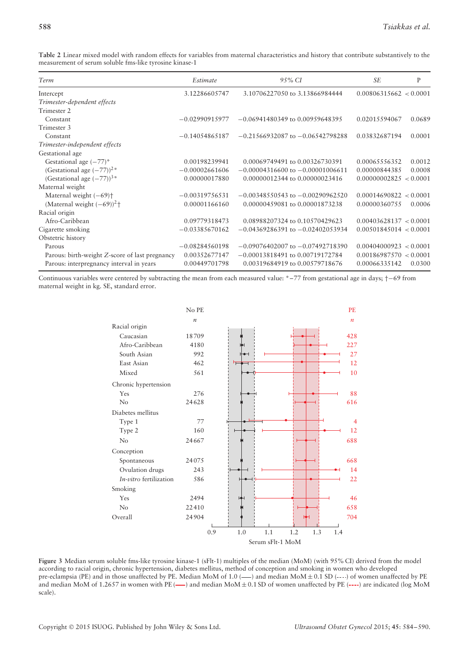**Table 2** Linear mixed model with random effects for variables from maternal characteristics and history that contribute substantively to the measurement of serum soluble fms-like tyrosine kinase-1

| Term                                                 | Estimate         | 95% CI                               | <b>SE</b>              | P      |
|------------------------------------------------------|------------------|--------------------------------------|------------------------|--------|
| Intercept                                            | 3.12286605747    | 3.10706227050 to 3.13866984444       | 0.00806315662 < 0.0001 |        |
| Trimester-dependent effects                          |                  |                                      |                        |        |
| Trimester 2                                          |                  |                                      |                        |        |
| Constant                                             | $-0.02990915977$ | $-0.06941480349$ to 0.00959648395    | 0.02015594067          | 0.0689 |
| Trimester 3                                          |                  |                                      |                        |        |
| Constant                                             | $-0.14054865187$ | $-0.21566932087$ to $-0.06542798288$ | 0.03832687194          | 0.0001 |
| Trimester-independent effects                        |                  |                                      |                        |        |
| Gestational age                                      |                  |                                      |                        |        |
| Gestational age $(-77)^*$                            | 0.00198239941    | 0.00069749491 to 0.00326730391       | 0.00065556352          | 0.0012 |
| (Gestational age $(-77)$ ) <sup>2*</sup>             | $-0.00002661606$ | $-0.00004316600$ to $-0.00001006611$ | 0.00000844385          | 0.0008 |
| (Gestational age $(-77)^{3*}$                        | 0.00000017880    | 0.00000012344 to 0.00000023416       | 0.00000002825 < 0.0001 |        |
| Maternal weight                                      |                  |                                      |                        |        |
| Maternal weight $(-69)$ <sup>+</sup>                 | $-0.00319756531$ | $-0.00348550543$ to $-0.00290962520$ | 0.00014690822 < 0.0001 |        |
| (Maternal weight $(-69)$ ) <sup>2</sup> <sup>+</sup> | 0.00001166160    | 0.00000459081 to 0.00001873238       | 0.00000360755          | 0.0006 |
| Racial origin                                        |                  |                                      |                        |        |
| Afro-Caribbean                                       | 0.09779318473    | 0.08988207324 to 0.10570429623       | 0.00403628137 < 0.0001 |        |
| Cigarette smoking                                    | $-0.03385670162$ | $-0.04369286391$ to $-0.02402053934$ | 0.00501845014 < 0.0001 |        |
| Obstetric history                                    |                  |                                      |                        |        |
| Parous                                               | $-0.08284560198$ | $-0.09076402007$ to $-0.07492718390$ | 0.00404000923 < 0.0001 |        |
| Parous: birth-weight Z-score of last pregnancy       | 0.00352677147    | $-0.00013818491$ to $0.00719172784$  | 0.00186987570 < 0.0001 |        |
| Parous: interpregnancy interval in years             | 0.00449701798    | 0.00319684919 to 0.00579718676       | 0.00066335142          | 0.0300 |

Continuous variables were centered by subtracting the mean from each measured value: \*–77 from gestational age in days; †−69 from maternal weight in kg. SE, standard error.



**Figure 3** Median serum soluble fms-like tyrosine kinase-1 (sFlt-1) multiples of the median (MoM) (with 95% CI) derived from the model according to racial origin, chronic hypertension, diabetes mellitus, method of conception and smoking in women who developed pre-eclampsia (PE) and in those unaffected by PE. Median MoM of  $1.0$  ( $-$ ) and median MoM  $\pm$  0.1 SD (----) of women unaffected by PE and median MoM of 1.2657 in women with PE  $($ — $)$  and median MoM $± 0.1$  SD of women unaffected by PE  $($ ---- $)$  are indicated (log MoM scale).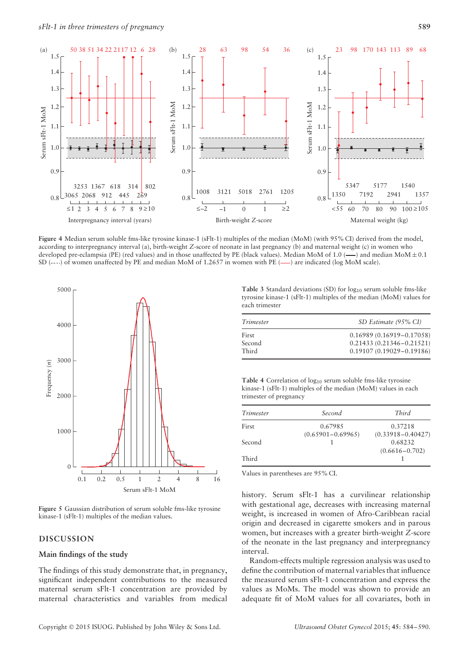

**Figure 4** Median serum soluble fms-like tyrosine kinase-1 (sFlt-1) multiples of the median (MoM) (with 95% CI) derived from the model, according to interpregnancy interval (a), birth-weight *Z*-score of neonate in last pregnancy (b) and maternal weight (c) in women who developed pre-eclampsia (PE) (red values) and in those unaffected by PE (black values). Median MoM of 1.0 ( $\rightarrow$ ) and median MoM $\pm$  0.1 SD (----) of women unaffected by PE and median MoM of 1.2657 in women with PE (---) are indicated (log MoM scale).



**Figure 5** Gaussian distribution of serum soluble fms-like tyrosine kinase-1 (sFlt-1) multiples of the median values.

# **DISCUSSION**

#### **Main findings of the study**

The findings of this study demonstrate that, in pregnancy, significant independent contributions to the measured maternal serum sFlt-1 concentration are provided by maternal characteristics and variables from medical

Copyright © 2015 ISUOG. Published by John Wiley & Sons Ltd. *Ultrasound Obstet Gynecol* 2015; **45**: 584–590.

Table 3 Standard deviations (SD) for log<sub>10</sub> serum soluble fms-like tyrosine kinase-1 (sFlt-1) multiples of the median (MoM) values for each trimester

| Trimester | SD Estimate (95% CI)         |  |
|-----------|------------------------------|--|
| First     | $0.16989(0.16919 - 0.17058)$ |  |
| Second    | $0.21433(0.21346 - 0.21521)$ |  |
| Third     | $0.19107(0.19029 - 0.19186)$ |  |

Table 4 Correlation of log<sub>10</sub> serum soluble fms-like tyrosine kinase-1 (sFlt-1) multiples of the median (MoM) values in each trimester of pregnancy

| Trimester | Second                | Third                 |
|-----------|-----------------------|-----------------------|
| First     | 0.67985               | 0.37218               |
|           | $(0.65901 - 0.69965)$ | $(0.33918 - 0.40427)$ |
| Second    |                       | 0.68232               |
|           |                       | $(0.6616 - 0.702)$    |
| Third     |                       |                       |

Values in parentheses are 95% CI.

history. Serum sFlt-1 has a curvilinear relationship with gestational age, decreases with increasing maternal weight, is increased in women of Afro-Caribbean racial origin and decreased in cigarette smokers and in parous women, but increases with a greater birth-weight *Z*-score of the neonate in the last pregnancy and interpregnancy interval.

Random-effects multiple regression analysis was used to define the contribution of maternal variables that influence the measured serum sFlt-1 concentration and express the values as MoMs. The model was shown to provide an adequate fit of MoM values for all covariates, both in